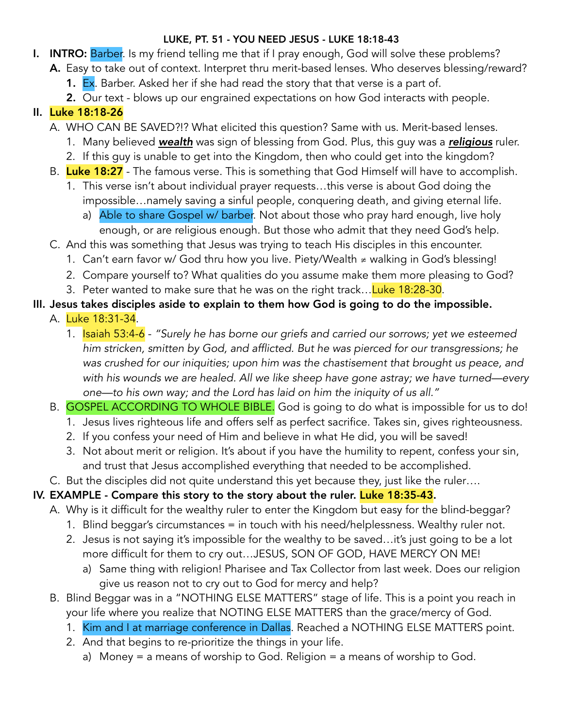#### LUKE, PT. 51 - YOU NEED JESUS - LUKE 18:18-43

- **I. INTRO:** Barber. Is my friend telling me that if I pray enough, God will solve these problems?
	- A. Easy to take out of context. Interpret thru merit-based lenses. Who deserves blessing/reward?
		- **1. Ex**. Barber. Asked her if she had read the story that that verse is a part of.
		- 2. Our text blows up our engrained expectations on how God interacts with people.

# II. Luke 18:18-26

- A. WHO CAN BE SAVED?!? What elicited this question? Same with us. Merit-based lenses.
	- 1. Many believed *wealth* was sign of blessing from God. Plus, this guy was a *religious* ruler.
	- 2. If this guy is unable to get into the Kingdom, then who could get into the kingdom?
- B. Luke 18:27 The famous verse. This is something that God Himself will have to accomplish.
	- 1. This verse isn't about individual prayer requests…this verse is about God doing the impossible…namely saving a sinful people, conquering death, and giving eternal life.
		- a) Able to share Gospel w/ barber. Not about those who pray hard enough, live holy enough, or are religious enough. But those who admit that they need God's help.
- C. And this was something that Jesus was trying to teach His disciples in this encounter.
	- 1. Can't earn favor w/ God thru how you live. Piety/Wealth ≉ walking in God's blessing!
	- 2. Compare yourself to? What qualities do you assume make them more pleasing to God?
	- 3. Peter wanted to make sure that he was on the right track... Luke 18:28-30.
- III. Jesus takes disciples aside to explain to them how God is going to do the impossible.
	- A. Luke 18:31-34.
		- 1. Isaiah 53:4-6 *"Surely he has borne our griefs and carried our sorrows; yet we esteemed him stricken, smitten by God, and afflicted. But he was pierced for our transgressions; he was crushed for our iniquities; upon him was the chastisement that brought us peace, and with his wounds we are healed. All we like sheep have gone astray; we have turned—every one—to his own way; and the Lord has laid on him the iniquity of us all."*
	- B. GOSPEL ACCORDING TO WHOLE BIBLE. God is going to do what is impossible for us to do!
		- 1. Jesus lives righteous life and offers self as perfect sacrifice. Takes sin, gives righteousness.
		- 2. If you confess your need of Him and believe in what He did, you will be saved!
		- 3. Not about merit or religion. It's about if you have the humility to repent, confess your sin, and trust that Jesus accomplished everything that needed to be accomplished.
	- C. But the disciples did not quite understand this yet because they, just like the ruler….

# IV. EXAMPLE - Compare this story to the story about the ruler. Luke 18:35-43.

- A. Why is it difficult for the wealthy ruler to enter the Kingdom but easy for the blind-beggar?
	- 1. Blind beggar's circumstances = in touch with his need/helplessness. Wealthy ruler not.
	- 2. Jesus is not saying it's impossible for the wealthy to be saved…it's just going to be a lot more difficult for them to cry out…JESUS, SON OF GOD, HAVE MERCY ON ME!
		- a) Same thing with religion! Pharisee and Tax Collector from last week. Does our religion give us reason not to cry out to God for mercy and help?
- B. Blind Beggar was in a "NOTHING ELSE MATTERS" stage of life. This is a point you reach in your life where you realize that NOTING ELSE MATTERS than the grace/mercy of God.
	- 1. Kim and I at marriage conference in Dallas. Reached a NOTHING ELSE MATTERS point.
	- 2. And that begins to re-prioritize the things in your life.
		- a) Money = a means of worship to God. Religion = a means of worship to God.